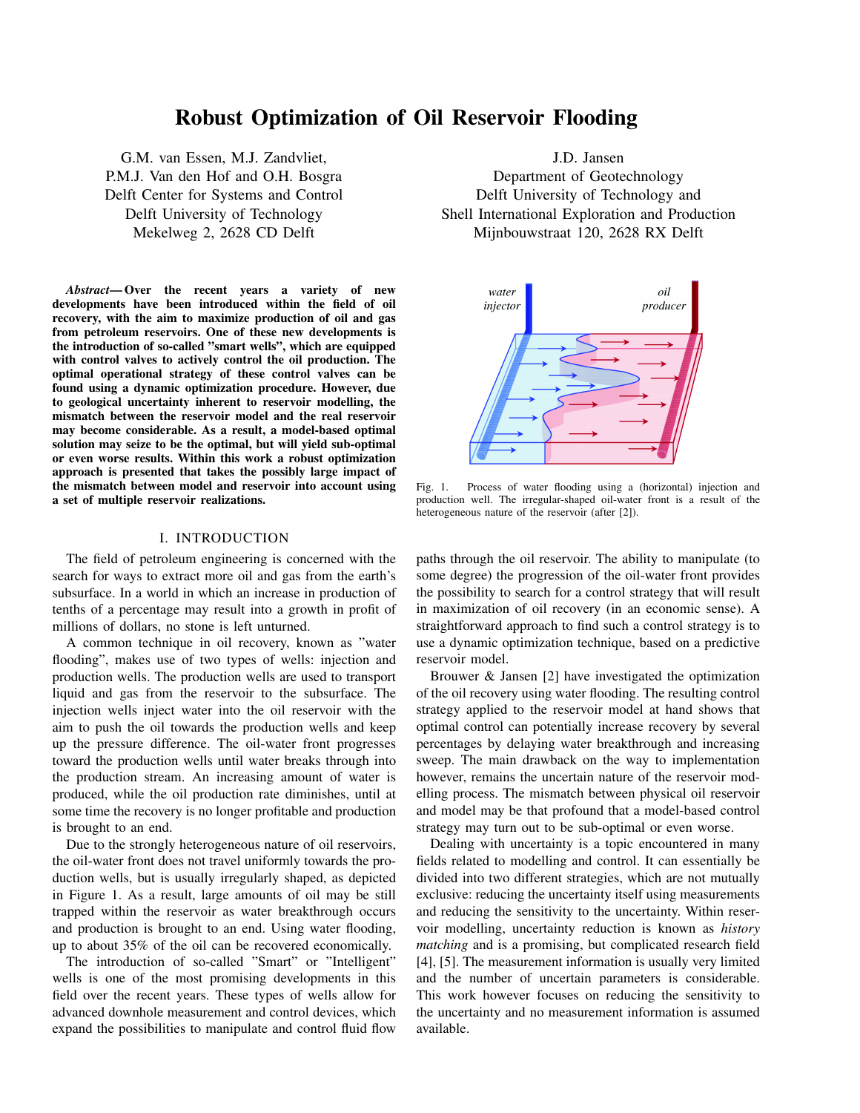# Robust Optimization of Oil Reservoir Flooding

G.M. van Essen, M.J. Zandvliet, P.M.J. Van den Hof and O.H. Bosgra Delft Center for Systems and Control Delft University of Technology Mekelweg 2, 2628 CD Delft

*Abstract*— Over the recent years a variety of new developments have been introduced within the field of oil recovery, with the aim to maximize production of oil and gas from petroleum reservoirs. One of these new developments is the introduction of so-called "smart wells", which are equipped with control valves to actively control the oil production. The optimal operational strategy of these control valves can be found using a dynamic optimization procedure. However, due to geological uncertainty inherent to reservoir modelling, the mismatch between the reservoir model and the real reservoir may become considerable. As a result, a model-based optimal solution may seize to be the optimal, but will yield sub-optimal or even worse results. Within this work a robust optimization approach is presented that takes the possibly large impact of the mismatch between model and reservoir into account using a set of multiple reservoir realizations.

## I. INTRODUCTION

The field of petroleum engineering is concerned with the search for ways to extract more oil and gas from the earth's subsurface. In a world in which an increase in production of tenths of a percentage may result into a growth in profit of millions of dollars, no stone is left unturned.

A common technique in oil recovery, known as "water flooding", makes use of two types of wells: injection and production wells. The production wells are used to transport liquid and gas from the reservoir to the subsurface. The injection wells inject water into the oil reservoir with the aim to push the oil towards the production wells and keep up the pressure difference. The oil-water front progresses toward the production wells until water breaks through into the production stream. An increasing amount of water is produced, while the oil production rate diminishes, until at some time the recovery is no longer profitable and production is brought to an end.

Due to the strongly heterogeneous nature of oil reservoirs, the oil-water front does not travel uniformly towards the production wells, but is usually irregularly shaped, as depicted in Figure 1. As a result, large amounts of oil may be still trapped within the reservoir as water breakthrough occurs and production is brought to an end. Using water flooding, up to about 35% of the oil can be recovered economically.

The introduction of so-called "Smart" or "Intelligent" wells is one of the most promising developments in this field over the recent years. These types of wells allow for advanced downhole measurement and control devices, which expand the possibilities to manipulate and control fluid flow

J.D. Jansen Department of Geotechnology Delft University of Technology and Shell International Exploration and Production Mijnbouwstraat 120, 2628 RX Delft



Fig. 1. Process of water flooding using a (horizontal) injection and production well. The irregular-shaped oil-water front is a result of the heterogeneous nature of the reservoir (after [2]).

paths through the oil reservoir. The ability to manipulate (to some degree) the progression of the oil-water front provides the possibility to search for a control strategy that will result in maximization of oil recovery (in an economic sense). A straightforward approach to find such a control strategy is to use a dynamic optimization technique, based on a predictive reservoir model.

Brouwer & Jansen [2] have investigated the optimization of the oil recovery using water flooding. The resulting control strategy applied to the reservoir model at hand shows that optimal control can potentially increase recovery by several percentages by delaying water breakthrough and increasing sweep. The main drawback on the way to implementation however, remains the uncertain nature of the reservoir modelling process. The mismatch between physical oil reservoir and model may be that profound that a model-based control strategy may turn out to be sub-optimal or even worse.

Dealing with uncertainty is a topic encountered in many fields related to modelling and control. It can essentially be divided into two different strategies, which are not mutually exclusive: reducing the uncertainty itself using measurements and reducing the sensitivity to the uncertainty. Within reservoir modelling, uncertainty reduction is known as *history matching* and is a promising, but complicated research field [4], [5]. The measurement information is usually very limited and the number of uncertain parameters is considerable. This work however focuses on reducing the sensitivity to the uncertainty and no measurement information is assumed available.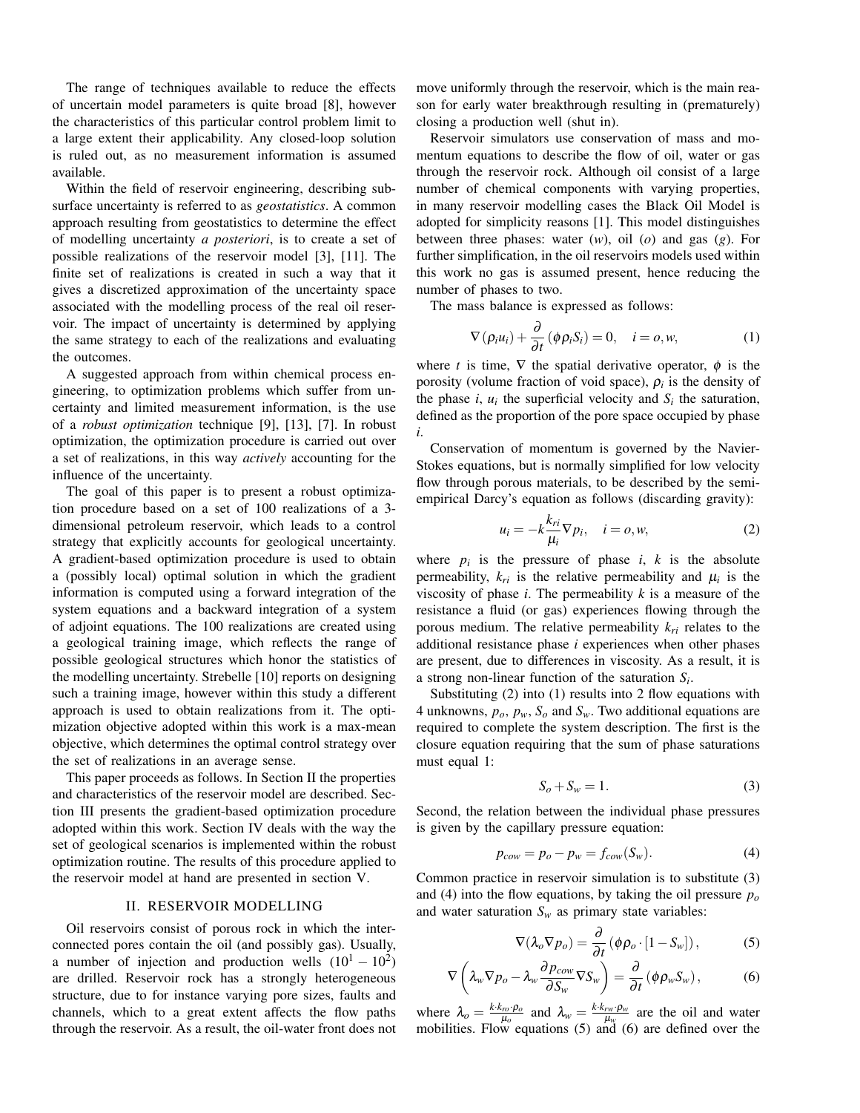The range of techniques available to reduce the effects of uncertain model parameters is quite broad [8], however the characteristics of this particular control problem limit to a large extent their applicability. Any closed-loop solution is ruled out, as no measurement information is assumed available.

Within the field of reservoir engineering, describing subsurface uncertainty is referred to as *geostatistics*. A common approach resulting from geostatistics to determine the effect of modelling uncertainty *a posteriori*, is to create a set of possible realizations of the reservoir model [3], [11]. The finite set of realizations is created in such a way that it gives a discretized approximation of the uncertainty space associated with the modelling process of the real oil reservoir. The impact of uncertainty is determined by applying the same strategy to each of the realizations and evaluating the outcomes.

A suggested approach from within chemical process engineering, to optimization problems which suffer from uncertainty and limited measurement information, is the use of a *robust optimization* technique [9], [13], [7]. In robust optimization, the optimization procedure is carried out over a set of realizations, in this way *actively* accounting for the influence of the uncertainty.

The goal of this paper is to present a robust optimization procedure based on a set of 100 realizations of a 3 dimensional petroleum reservoir, which leads to a control strategy that explicitly accounts for geological uncertainty. A gradient-based optimization procedure is used to obtain a (possibly local) optimal solution in which the gradient information is computed using a forward integration of the system equations and a backward integration of a system of adjoint equations. The 100 realizations are created using a geological training image, which reflects the range of possible geological structures which honor the statistics of the modelling uncertainty. Strebelle [10] reports on designing such a training image, however within this study a different approach is used to obtain realizations from it. The optimization objective adopted within this work is a max-mean objective, which determines the optimal control strategy over the set of realizations in an average sense.

This paper proceeds as follows. In Section II the properties and characteristics of the reservoir model are described. Section III presents the gradient-based optimization procedure adopted within this work. Section IV deals with the way the set of geological scenarios is implemented within the robust optimization routine. The results of this procedure applied to the reservoir model at hand are presented in section V.

## II. RESERVOIR MODELLING

Oil reservoirs consist of porous rock in which the interconnected pores contain the oil (and possibly gas). Usually, a number of injection and production wells  $(10^1 - 10^2)$ are drilled. Reservoir rock has a strongly heterogeneous structure, due to for instance varying pore sizes, faults and channels, which to a great extent affects the flow paths through the reservoir. As a result, the oil-water front does not move uniformly through the reservoir, which is the main reason for early water breakthrough resulting in (prematurely) closing a production well (shut in).

Reservoir simulators use conservation of mass and momentum equations to describe the flow of oil, water or gas through the reservoir rock. Although oil consist of a large number of chemical components with varying properties, in many reservoir modelling cases the Black Oil Model is adopted for simplicity reasons [1]. This model distinguishes between three phases: water (*w*), oil (*o*) and gas (*g*). For further simplification, in the oil reservoirs models used within this work no gas is assumed present, hence reducing the number of phases to two.

The mass balance is expressed as follows:

$$
\nabla (\rho_i u_i) + \frac{\partial}{\partial t} (\phi \rho_i S_i) = 0, \quad i = o, w,
$$
 (1)

where *t* is time,  $\nabla$  the spatial derivative operator,  $\phi$  is the porosity (volume fraction of void space),  $\rho_i$  is the density of the phase  $i$ ,  $u_i$  the superficial velocity and  $S_i$  the saturation, defined as the proportion of the pore space occupied by phase *i*.

Conservation of momentum is governed by the Navier-Stokes equations, but is normally simplified for low velocity flow through porous materials, to be described by the semiempirical Darcy's equation as follows (discarding gravity):

$$
u_i = -k \frac{k_{ri}}{\mu_i} \nabla p_i, \quad i = o, w,
$$
 (2)

where  $p_i$  is the pressure of phase  $i$ ,  $k$  is the absolute permeability,  $k_{ri}$  is the relative permeability and  $\mu_i$  is the viscosity of phase *i*. The permeability *k* is a measure of the resistance a fluid (or gas) experiences flowing through the porous medium. The relative permeability *kri* relates to the additional resistance phase *i* experiences when other phases are present, due to differences in viscosity. As a result, it is a strong non-linear function of the saturation *S<sup>i</sup>* .

Substituting (2) into (1) results into 2 flow equations with 4 unknowns,  $p_o$ ,  $p_w$ ,  $S_o$  and  $S_w$ . Two additional equations are required to complete the system description. The first is the closure equation requiring that the sum of phase saturations must equal 1:

$$
S_o + S_w = 1. \tag{3}
$$

Second, the relation between the individual phase pressures is given by the capillary pressure equation:

$$
p_{cow} = p_o - p_w = f_{cow}(S_w). \tag{4}
$$

Common practice in reservoir simulation is to substitute (3) and (4) into the flow equations, by taking the oil pressure *p<sup>o</sup>* and water saturation  $S_w$  as primary state variables:

$$
\nabla(\lambda_o \nabla p_o) = \frac{\partial}{\partial t} (\phi \rho_o \cdot [1 - S_w]), \tag{5}
$$

$$
\nabla \left( \lambda_w \nabla p_o - \lambda_w \frac{\partial p_{cow}}{\partial S_w} \nabla S_w \right) = \frac{\partial}{\partial t} \left( \phi \rho_w S_w \right), \tag{6}
$$

where  $\lambda_o = \frac{k \cdot k_{ro} \cdot \rho_o}{\mu_o}$  $\frac{d\mathbf{r}_o \cdot \mathbf{\rho}_o}{\mu_o}$  and  $\lambda_w = \frac{k \cdot k_{rw} \cdot \mathbf{\rho}_w}{\mu_w}$  $\frac{w \cdot \rho_w}{\mu_w}$  are the oil and water mobilities. Flow equations (5) and (6) are defined over the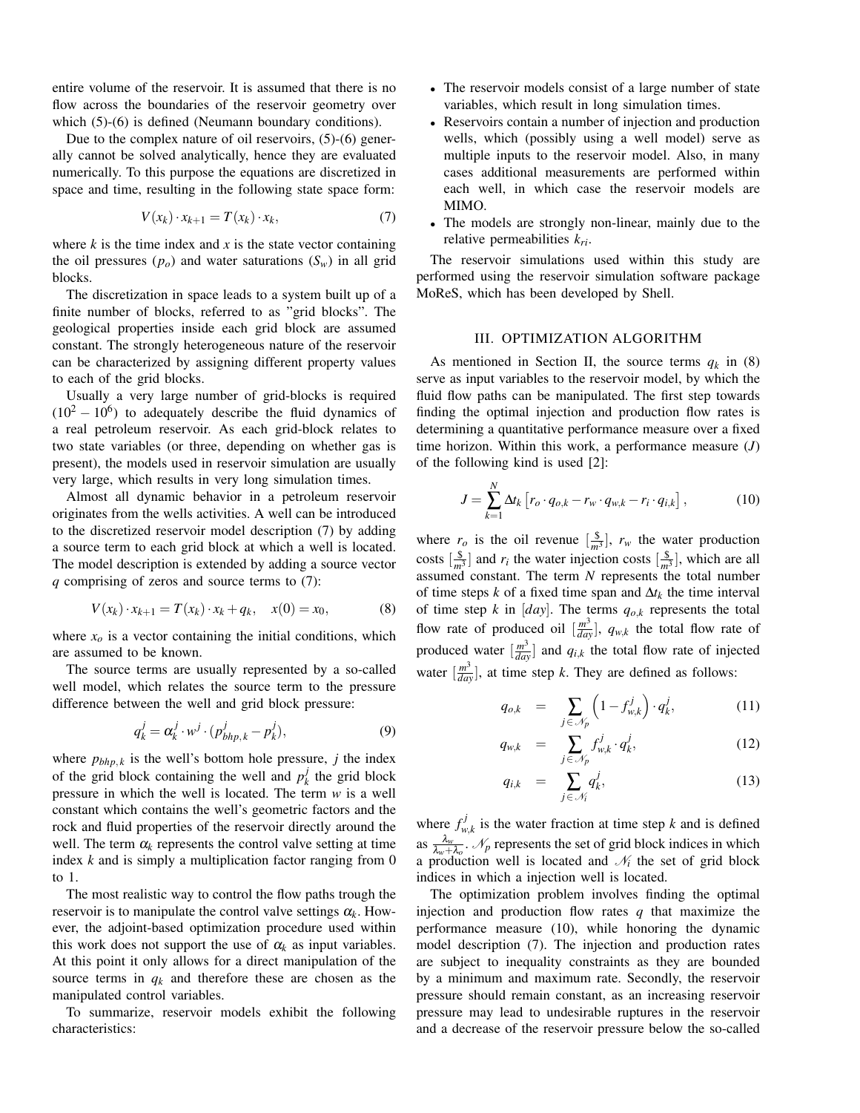entire volume of the reservoir. It is assumed that there is no flow across the boundaries of the reservoir geometry over which (5)-(6) is defined (Neumann boundary conditions).

Due to the complex nature of oil reservoirs, (5)-(6) generally cannot be solved analytically, hence they are evaluated numerically. To this purpose the equations are discretized in space and time, resulting in the following state space form:

$$
V(x_k) \cdot x_{k+1} = T(x_k) \cdot x_k, \tag{7}
$$

where  $k$  is the time index and  $x$  is the state vector containing the oil pressures  $(p_o)$  and water saturations  $(S_w)$  in all grid blocks.

The discretization in space leads to a system built up of a finite number of blocks, referred to as "grid blocks". The geological properties inside each grid block are assumed constant. The strongly heterogeneous nature of the reservoir can be characterized by assigning different property values to each of the grid blocks.

Usually a very large number of grid-blocks is required  $(10^2 - 10^6)$  to adequately describe the fluid dynamics of a real petroleum reservoir. As each grid-block relates to two state variables (or three, depending on whether gas is present), the models used in reservoir simulation are usually very large, which results in very long simulation times.

Almost all dynamic behavior in a petroleum reservoir originates from the wells activities. A well can be introduced to the discretized reservoir model description (7) by adding a source term to each grid block at which a well is located. The model description is extended by adding a source vector *q* comprising of zeros and source terms to (7):

$$
V(x_k) \cdot x_{k+1} = T(x_k) \cdot x_k + q_k, \quad x(0) = x_0,\tag{8}
$$

where  $x<sub>o</sub>$  is a vector containing the initial conditions, which are assumed to be known.

The source terms are usually represented by a so-called well model, which relates the source term to the pressure difference between the well and grid block pressure:

$$
q_k^j = \alpha_k^j \cdot w^j \cdot (p_{bhp,k}^j - p_k^j),\tag{9}
$$

where  $p_{bhp,k}$  is the well's bottom hole pressure, *j* the index of the grid block containing the well and  $p_i^j$  $\frac{J}{k}$  the grid block pressure in which the well is located. The term *w* is a well constant which contains the well's geometric factors and the rock and fluid properties of the reservoir directly around the well. The term  $\alpha_k$  represents the control valve setting at time index *k* and is simply a multiplication factor ranging from 0 to 1.

The most realistic way to control the flow paths trough the reservoir is to manipulate the control valve settings  $\alpha_k$ . However, the adjoint-based optimization procedure used within this work does not support the use of  $\alpha_k$  as input variables. At this point it only allows for a direct manipulation of the source terms in *q<sup>k</sup>* and therefore these are chosen as the manipulated control variables.

To summarize, reservoir models exhibit the following characteristics:

- The reservoir models consist of a large number of state variables, which result in long simulation times.
- Reservoirs contain a number of injection and production wells, which (possibly using a well model) serve as multiple inputs to the reservoir model. Also, in many cases additional measurements are performed within each well, in which case the reservoir models are MIMO.
- The models are strongly non-linear, mainly due to the relative permeabilities *kri*.

The reservoir simulations used within this study are performed using the reservoir simulation software package MoReS, which has been developed by Shell.

# III. OPTIMIZATION ALGORITHM

As mentioned in Section II, the source terms  $q_k$  in (8) serve as input variables to the reservoir model, by which the fluid flow paths can be manipulated. The first step towards finding the optimal injection and production flow rates is determining a quantitative performance measure over a fixed time horizon. Within this work, a performance measure (*J*) of the following kind is used [2]:

$$
J = \sum_{k=1}^{N} \Delta t_k \left[ r_o \cdot q_{o,k} - r_w \cdot q_{w,k} - r_i \cdot q_{i,k} \right],
$$
 (10)

where  $r_o$  is the oil revenue  $\left[\frac{\$}{m^3}\right]$ ,  $r_w$  the water production costs  $\left[\frac{\$}{m^3}\right]$  and  $r_i$  the water injection costs  $\left[\frac{\$}{m^3}\right]$ , which are all assumed constant. The term *N* represents the total number of time steps *k* of a fixed time span and  $\Delta t_k$  the time interval of time step *k* in  $[day]$ . The terms  $q_{o,k}$  represents the total flow rate of produced oil  $\left[\frac{m^3}{day}\right]$ ,  $q_{w,k}$  the total flow rate of produced water  $\left[\frac{m^3}{day}\right]$  and  $q_{i,k}$  the total flow rate of injected water  $\left[\frac{m^3}{day}\right]$ , at time step *k*. They are defined as follows:

$$
q_{o,k} = \sum_{j \in \mathcal{N}_p} \left( 1 - f_{w,k}^j \right) \cdot q_k^j, \tag{11}
$$

$$
q_{w,k} = \sum_{j \in \mathcal{N}_p} f_{w,k}^j \cdot q_k^j, \qquad (12)
$$

$$
q_{i,k} = \sum_{j \in \mathcal{N}_i} q_k^j, \tag{13}
$$

where  $f_w^j$  $w_{w,k}$  is the water fraction at time step *k* and is defined as  $\frac{\lambda_w}{\lambda_w + \lambda_o}$ .  $\mathcal{N}_p$  represents the set of grid block indices in which a production well is located and  $\mathcal{N}_i$  the set of grid block indices in which a injection well is located.

The optimization problem involves finding the optimal injection and production flow rates *q* that maximize the performance measure (10), while honoring the dynamic model description (7). The injection and production rates are subject to inequality constraints as they are bounded by a minimum and maximum rate. Secondly, the reservoir pressure should remain constant, as an increasing reservoir pressure may lead to undesirable ruptures in the reservoir and a decrease of the reservoir pressure below the so-called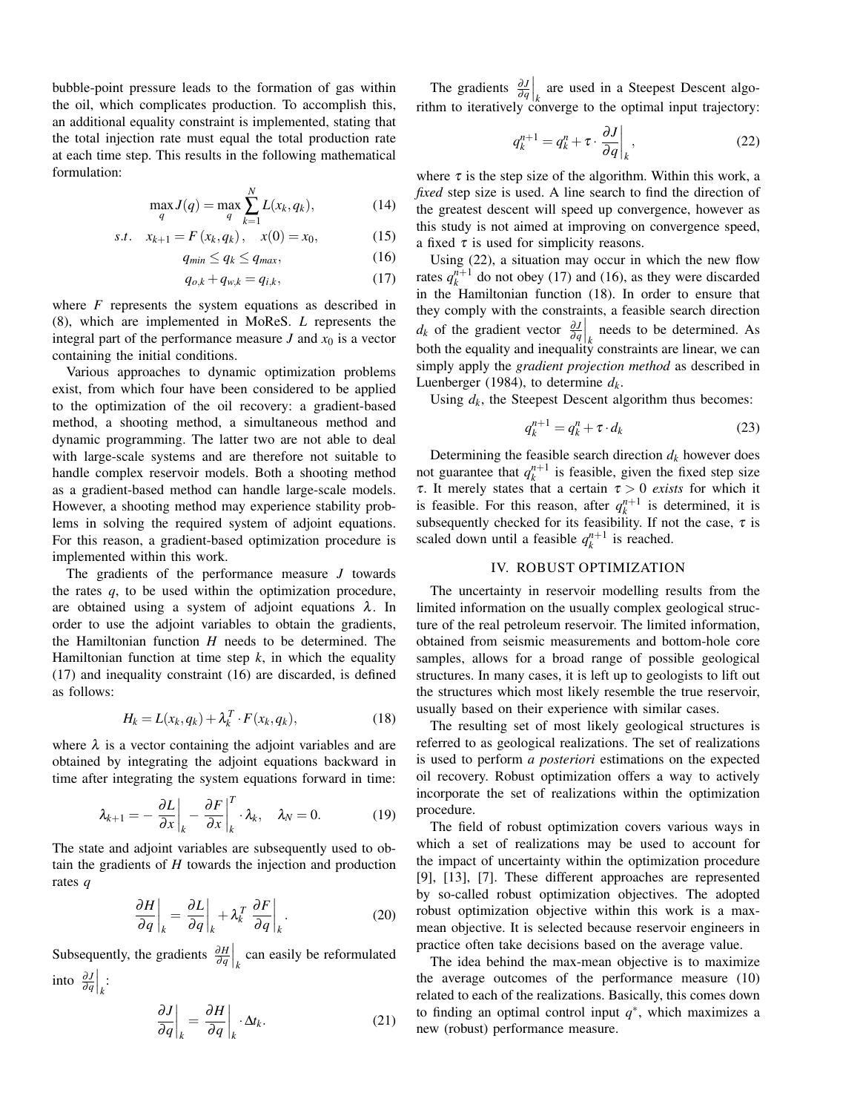bubble-point pressure leads to the formation of gas within the oil, which complicates production. To accomplish this, an additional equality constraint is implemented, stating that the total injection rate must equal the total production rate at each time step. This results in the following mathematical formulation:

$$
\max_{q} J(q) = \max_{q} \sum_{k=1}^{N} L(x_k, q_k), \qquad (14)
$$

s.t. 
$$
x_{k+1} = F(x_k, q_k), \quad x(0) = x_0,
$$
 (15)

$$
q_{min} \le q_k \le q_{max}, \tag{16}
$$

$$
q_{o,k} + q_{w,k} = q_{i,k},\tag{17}
$$

where *F* represents the system equations as described in (8), which are implemented in MoReS. *L* represents the integral part of the performance measure  $J$  and  $x_0$  is a vector containing the initial conditions.

Various approaches to dynamic optimization problems exist, from which four have been considered to be applied to the optimization of the oil recovery: a gradient-based method, a shooting method, a simultaneous method and dynamic programming. The latter two are not able to deal with large-scale systems and are therefore not suitable to handle complex reservoir models. Both a shooting method as a gradient-based method can handle large-scale models. However, a shooting method may experience stability problems in solving the required system of adjoint equations. For this reason, a gradient-based optimization procedure is implemented within this work.

The gradients of the performance measure *J* towards the rates *q*, to be used within the optimization procedure, are obtained using a system of adjoint equations  $\lambda$ . In order to use the adjoint variables to obtain the gradients, the Hamiltonian function *H* needs to be determined. The Hamiltonian function at time step *k*, in which the equality (17) and inequality constraint (16) are discarded, is defined as follows:

$$
H_k = L(x_k, q_k) + \lambda_k^T \cdot F(x_k, q_k), \qquad (18)
$$

where  $\lambda$  is a vector containing the adjoint variables and are obtained by integrating the adjoint equations backward in time after integrating the system equations forward in time:

$$
\lambda_{k+1} = -\left. \frac{\partial L}{\partial x} \right|_{k} - \left. \frac{\partial F}{\partial x} \right|_{k}^{T} \cdot \lambda_{k}, \quad \lambda_{N} = 0. \tag{19}
$$

The state and adjoint variables are subsequently used to obtain the gradients of *H* towards the injection and production rates *q*

$$
\left. \frac{\partial H}{\partial q} \right|_{k} = \left. \frac{\partial L}{\partial q} \right|_{k} + \lambda_{k}^{T} \left. \frac{\partial F}{\partial q} \right|_{k}.
$$
 (20)

Subsequently, the gradients  $\frac{\partial H}{\partial q}$ Lently, the gradients  $\frac{\partial H}{\partial q}\Big|_k$  can easily be reformulated into  $\frac{\partial J}{\partial q}$  $\Big|_k$ :

$$
\left. \frac{\partial J}{\partial q} \right|_{k} = \left. \frac{\partial H}{\partial q} \right|_{k} \cdot \Delta t_{k}.
$$
 (21)

The gradients  $\frac{\partial J}{\partial q}$  $\left|_{k}\right|$  are used in a Steepest Descent algorithm to iteratively converge to the optimal input trajectory:

$$
q_k^{n+1} = q_k^n + \tau \cdot \frac{\partial J}{\partial q}\bigg|_k, \tag{22}
$$

where  $\tau$  is the step size of the algorithm. Within this work, a *fixed* step size is used. A line search to find the direction of the greatest descent will speed up convergence, however as this study is not aimed at improving on convergence speed, a fixed  $\tau$  is used for simplicity reasons.

Using (22), a situation may occur in which the new flow rates  $q_k^{n+1}$  do not obey (17) and (16), as they were discarded in the Hamiltonian function (18). In order to ensure that they comply with the constraints, a feasible search direction  $d_k$  of the gradient vector  $\frac{\partial J}{\partial q}$  $\left| \right|_k$  needs to be determined. As both the equality and inequality constraints are linear, we can simply apply the *gradient projection method* as described in Luenberger (1984), to determine  $d_k$ .

Using  $d_k$ , the Steepest Descent algorithm thus becomes:

$$
q_k^{n+1} = q_k^n + \tau \cdot d_k \tag{23}
$$

Determining the feasible search direction  $d_k$  however does not guarantee that  $q_k^{n+1}$  is feasible, given the fixed step size <sup>τ</sup>. It merely states that a certain <sup>τ</sup> > 0 *exists* for which it is feasible. For this reason, after  $q_k^{n+1}$  is determined, it is subsequently checked for its feasibility. If not the case,  $\tau$  is scaled down until a feasible  $q_k^{n+1}$  is reached.

#### IV. ROBUST OPTIMIZATION

The uncertainty in reservoir modelling results from the limited information on the usually complex geological structure of the real petroleum reservoir. The limited information, obtained from seismic measurements and bottom-hole core samples, allows for a broad range of possible geological structures. In many cases, it is left up to geologists to lift out the structures which most likely resemble the true reservoir, usually based on their experience with similar cases.

The resulting set of most likely geological structures is referred to as geological realizations. The set of realizations is used to perform *a posteriori* estimations on the expected oil recovery. Robust optimization offers a way to actively incorporate the set of realizations within the optimization procedure.

The field of robust optimization covers various ways in which a set of realizations may be used to account for the impact of uncertainty within the optimization procedure [9], [13], [7]. These different approaches are represented by so-called robust optimization objectives. The adopted robust optimization objective within this work is a maxmean objective. It is selected because reservoir engineers in practice often take decisions based on the average value.

The idea behind the max-mean objective is to maximize the average outcomes of the performance measure (10) related to each of the realizations. Basically, this comes down to finding an optimal control input  $q^*$ , which maximizes a new (robust) performance measure.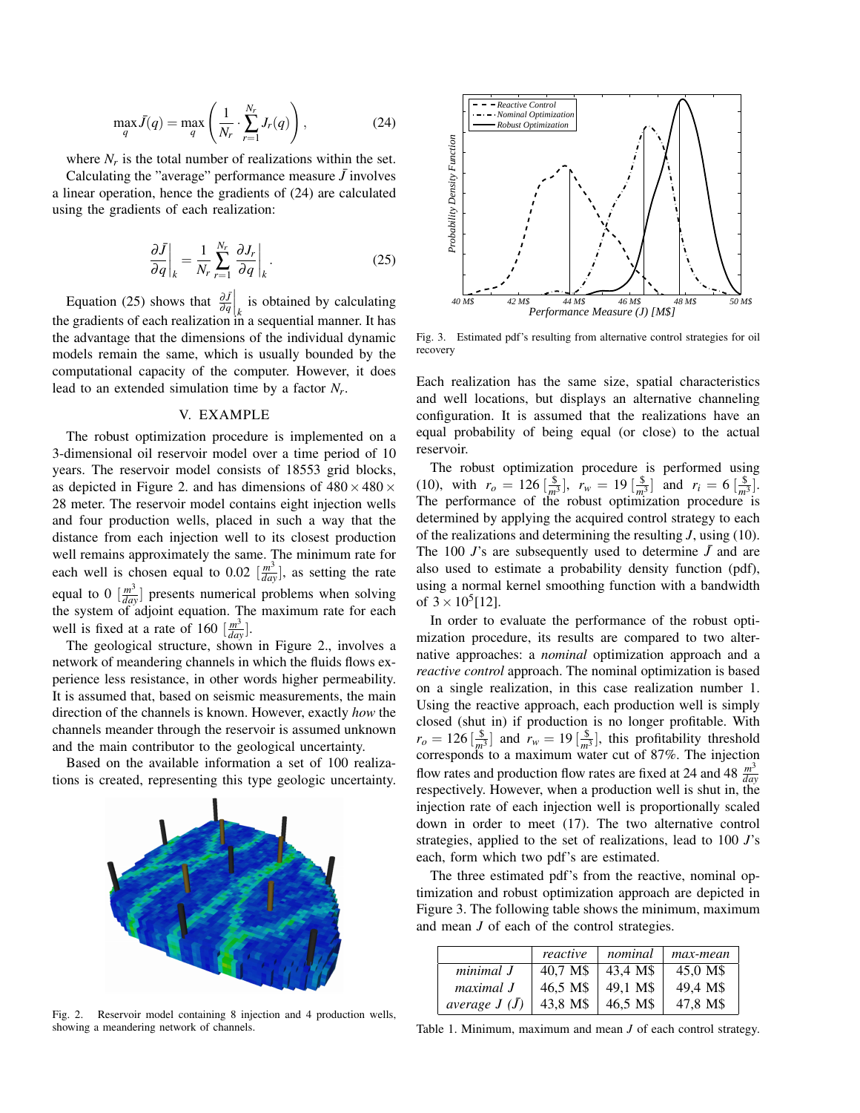$$
\max_{q} \bar{J}(q) = \max_{q} \left( \frac{1}{N_r} \cdot \sum_{r=1}^{N_r} J_r(q) \right), \tag{24}
$$

where  $N_r$  is the total number of realizations within the set. Calculating the "average" performance measure  $\bar{J}$  involves a linear operation, hence the gradients of (24) are calculated using the gradients of each realization:

$$
\frac{\partial \bar{J}}{\partial q}\bigg|_{k} = \frac{1}{N_r} \sum_{r=1}^{N_r} \left. \frac{\partial J_r}{\partial q} \right|_{k}.
$$
 (25)

Equation (25) shows that  $\frac{\partial \bar{J}}{\partial q}$  $\left|_{k}\right|$  is obtained by calculating the gradients of each realization in a sequential manner. It has the advantage that the dimensions of the individual dynamic models remain the same, which is usually bounded by the computational capacity of the computer. However, it does lead to an extended simulation time by a factor *N<sup>r</sup>* .

#### V. EXAMPLE

The robust optimization procedure is implemented on a 3-dimensional oil reservoir model over a time period of 10 years. The reservoir model consists of 18553 grid blocks, as depicted in Figure 2. and has dimensions of  $480 \times 480 \times$ 28 meter. The reservoir model contains eight injection wells and four production wells, placed in such a way that the distance from each injection well to its closest production well remains approximately the same. The minimum rate for each well is chosen equal to 0.02  $\left[\frac{m^3}{day}\right]$ , as setting the rate equal to  $0 \left[\frac{m^3}{day}\right]$  presents numerical problems when solving the system of adjoint equation. The maximum rate for each well is fixed at a rate of 160  $\left[\frac{m^3}{day}\right]$ .

The geological structure, shown in Figure 2., involves a network of meandering channels in which the fluids flows experience less resistance, in other words higher permeability. It is assumed that, based on seismic measurements, the main direction of the channels is known. However, exactly *how* the channels meander through the reservoir is assumed unknown and the main contributor to the geological uncertainty.

Based on the available information a set of 100 realizations is created, representing this type geologic uncertainty.



Fig. 2. Reservoir model containing 8 injection and 4 production wells, showing a meandering network of channels.



Fig. 3. Estimated pdf's resulting from alternative control strategies for oil recovery

Each realization has the same size, spatial characteristics and well locations, but displays an alternative channeling configuration. It is assumed that the realizations have an equal probability of being equal (or close) to the actual reservoir.

The robust optimization procedure is performed using (10), with  $r_o = 126 \left[ \frac{\$}{m^3} \right]$ ,  $r_w = 19 \left[ \frac{\$}{m^3} \right]$  and  $r_i = 6 \left[ \frac{\$}{m^3} \right]$ . The performance of the robust optimization procedure is determined by applying the acquired control strategy to each of the realizations and determining the resulting *J*, using (10). The 100 *J*'s are subsequently used to determine *J* and are also used to estimate a probability density function (pdf), using a normal kernel smoothing function with a bandwidth of  $3 \times 10^5$ [12].

In order to evaluate the performance of the robust optimization procedure, its results are compared to two alternative approaches: a *nominal* optimization approach and a *reactive control* approach. The nominal optimization is based on a single realization, in this case realization number 1. Using the reactive approach, each production well is simply closed (shut in) if production is no longer profitable. With  $r_o = 126 \left[ \frac{\$}{m^3} \right]$  and  $r_w = 19 \left[ \frac{\$}{m^3} \right]$ , this profitability threshold corresponds to a maximum water cut of 87%. The injection flow rates and production flow rates are fixed at 24 and 48  $\frac{m^3}{4m}$ *day* respectively. However, when a production well is shut in, the injection rate of each injection well is proportionally scaled down in order to meet (17). The two alternative control strategies, applied to the set of realizations, lead to 100 *J*'s each, form which two pdf's are estimated.

The three estimated pdf's from the reactive, nominal optimization and robust optimization approach are depicted in Figure 3. The following table shows the minimum, maximum and mean *J* of each of the control strategies.

|                      | reactive | nominal  | max-mean |
|----------------------|----------|----------|----------|
| minimal J            | 40.7 M\$ | 43.4 M\$ | 45.0 M\$ |
| maximal J            | 46,5 M\$ | 49.1 M\$ | 49.4 M\$ |
| average $J(\bar{J})$ | 43.8 M\$ | 46,5 M\$ | 47.8 M\$ |

Table 1. Minimum, maximum and mean *J* of each control strategy.